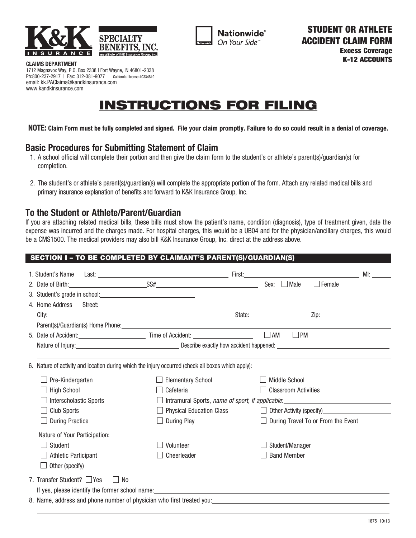



**Nationwide**® On Your Side

1712 Magnavox Way, P.O. Box 2338 | Fort Wayne, IN 46801-2338 Ph:800-237-2917 | Fax: 312-381-9077 California License #0334819 email: kk.PAClaims@kandkinsurance.com www.kandkinsurance.com

# INSTRUCTIONS FOR FILING

**NOTE: Claim Form must be fully completed and signed. File your claim promptly. Failure to do so could result in a denial of coverage.**

### **Basic Procedures for Submitting Statement of Claim**

- 1. A school official will complete their portion and then give the claim form to the student's or athlete's parent(s)/guardian(s) for completion.
- 2. The student's or athlete's parent(s)/guardian(s) will complete the appropriate portion of the form. Attach any related medical bills and primary insurance explanation of benefits and forward to K&K Insurance Group, Inc.

### **To the Student or Athlete/Parent/Guardian**

If you are attaching related medical bills, these bills must show the patient's name, condition (diagnosis), type of treatment given, date the expense was incurred and the charges made. For hospital charges, this would be a UB04 and for the physician/ancillary charges, this would be a CMS1500. The medical providers may also bill K&K Insurance Group, Inc. direct at the address above.

### SECTION I – TO BE COMPLETED BY CLAIMANT'S PARENT(S)/GUARDIAN(S)

|                                                                       | 1. Student's Name                                                                                  |                                                                                                                                                                                                                                                                           |                                                                                                                                                                                                                                |  |                             |                                                                                                                                                                                                                                        | MI: and a structure of the structure of the structure of the structure of the structure of the structure of the structure of the structure of the structure of the structure of the structure of the structure of the structur |
|-----------------------------------------------------------------------|----------------------------------------------------------------------------------------------------|---------------------------------------------------------------------------------------------------------------------------------------------------------------------------------------------------------------------------------------------------------------------------|--------------------------------------------------------------------------------------------------------------------------------------------------------------------------------------------------------------------------------|--|-----------------------------|----------------------------------------------------------------------------------------------------------------------------------------------------------------------------------------------------------------------------------------|--------------------------------------------------------------------------------------------------------------------------------------------------------------------------------------------------------------------------------|
|                                                                       |                                                                                                    |                                                                                                                                                                                                                                                                           | 2. Date of Birth: $SS#$ SS# Sex: Male                                                                                                                                                                                          |  |                             | $\Box$ Female                                                                                                                                                                                                                          |                                                                                                                                                                                                                                |
|                                                                       |                                                                                                    | 3. Student's grade in school: <u>contract and contract and contract and contract and contract and contract and contract and contract and contract and contract and contract and contract and contract and contract and contract </u>                                      |                                                                                                                                                                                                                                |  |                             |                                                                                                                                                                                                                                        |                                                                                                                                                                                                                                |
|                                                                       |                                                                                                    |                                                                                                                                                                                                                                                                           |                                                                                                                                                                                                                                |  |                             |                                                                                                                                                                                                                                        |                                                                                                                                                                                                                                |
|                                                                       |                                                                                                    |                                                                                                                                                                                                                                                                           |                                                                                                                                                                                                                                |  |                             |                                                                                                                                                                                                                                        |                                                                                                                                                                                                                                |
|                                                                       |                                                                                                    |                                                                                                                                                                                                                                                                           | Parent(s)/Guardian(s) Home Phone: Note that the state of the state of the state of the state of the state of the state of the state of the state of the state of the state of the state of the state of the state of the state |  |                             |                                                                                                                                                                                                                                        |                                                                                                                                                                                                                                |
|                                                                       |                                                                                                    |                                                                                                                                                                                                                                                                           |                                                                                                                                                                                                                                |  | $\Box$ PM                   |                                                                                                                                                                                                                                        |                                                                                                                                                                                                                                |
|                                                                       |                                                                                                    |                                                                                                                                                                                                                                                                           |                                                                                                                                                                                                                                |  |                             |                                                                                                                                                                                                                                        |                                                                                                                                                                                                                                |
|                                                                       |                                                                                                    |                                                                                                                                                                                                                                                                           |                                                                                                                                                                                                                                |  |                             |                                                                                                                                                                                                                                        |                                                                                                                                                                                                                                |
|                                                                       | 6. Nature of activity and location during which the injury occurred (check all boxes which apply): |                                                                                                                                                                                                                                                                           |                                                                                                                                                                                                                                |  |                             |                                                                                                                                                                                                                                        |                                                                                                                                                                                                                                |
|                                                                       | Pre-Kindergarten                                                                                   |                                                                                                                                                                                                                                                                           | <b>Elementary School</b>                                                                                                                                                                                                       |  | <b>Middle School</b>        |                                                                                                                                                                                                                                        |                                                                                                                                                                                                                                |
|                                                                       | <b>High School</b>                                                                                 |                                                                                                                                                                                                                                                                           | Cafeteria                                                                                                                                                                                                                      |  | <b>Classroom Activities</b> |                                                                                                                                                                                                                                        |                                                                                                                                                                                                                                |
|                                                                       |                                                                                                    | <b>Interscholastic Sports</b><br>Intramural Sports, <i>name of sport, if applicable</i> : <u>example and a second section</u> of the second section of the second section of the section of the second section of the second section of the second section of the section |                                                                                                                                                                                                                                |  |                             |                                                                                                                                                                                                                                        |                                                                                                                                                                                                                                |
|                                                                       | <b>Club Sports</b>                                                                                 |                                                                                                                                                                                                                                                                           | <b>Physical Education Class</b>                                                                                                                                                                                                |  |                             | Other Activity (specify)<br><u>Same and the substantial of the substantial of the substantial of the substantial of the substantial of the substantial of the substantial of the substantial of the substantial of the substantial</u> |                                                                                                                                                                                                                                |
|                                                                       | <b>During Practice</b>                                                                             |                                                                                                                                                                                                                                                                           | <b>During Play</b>                                                                                                                                                                                                             |  |                             | During Travel To or From the Event                                                                                                                                                                                                     |                                                                                                                                                                                                                                |
|                                                                       | Nature of Your Participation:                                                                      |                                                                                                                                                                                                                                                                           |                                                                                                                                                                                                                                |  |                             |                                                                                                                                                                                                                                        |                                                                                                                                                                                                                                |
|                                                                       | Student                                                                                            |                                                                                                                                                                                                                                                                           | Volunteer                                                                                                                                                                                                                      |  | Student/Manager             |                                                                                                                                                                                                                                        |                                                                                                                                                                                                                                |
|                                                                       | <b>Athletic Participant</b>                                                                        |                                                                                                                                                                                                                                                                           | Cheerleader                                                                                                                                                                                                                    |  | <b>Band Member</b>          |                                                                                                                                                                                                                                        |                                                                                                                                                                                                                                |
|                                                                       |                                                                                                    |                                                                                                                                                                                                                                                                           |                                                                                                                                                                                                                                |  |                             |                                                                                                                                                                                                                                        |                                                                                                                                                                                                                                |
|                                                                       | 7. Transfer Student? $\Box$ Yes<br>No                                                              |                                                                                                                                                                                                                                                                           |                                                                                                                                                                                                                                |  |                             |                                                                                                                                                                                                                                        |                                                                                                                                                                                                                                |
|                                                                       |                                                                                                    |                                                                                                                                                                                                                                                                           |                                                                                                                                                                                                                                |  |                             |                                                                                                                                                                                                                                        |                                                                                                                                                                                                                                |
| 8. Name, address and phone number of physician who first treated you: |                                                                                                    |                                                                                                                                                                                                                                                                           |                                                                                                                                                                                                                                |  |                             |                                                                                                                                                                                                                                        |                                                                                                                                                                                                                                |
|                                                                       |                                                                                                    |                                                                                                                                                                                                                                                                           |                                                                                                                                                                                                                                |  |                             |                                                                                                                                                                                                                                        |                                                                                                                                                                                                                                |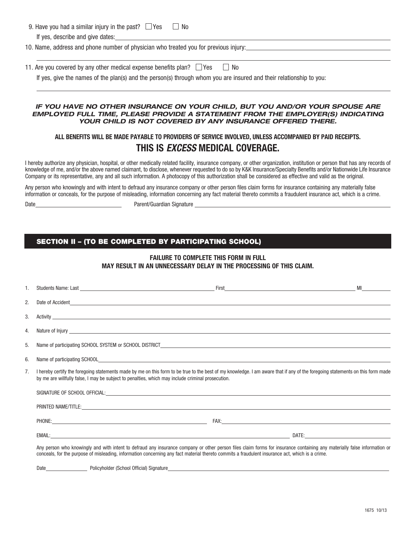| 9. Have you had a similar injury in the past? $\Box$ Yes                             | No                                                                                                                  |  |  |
|--------------------------------------------------------------------------------------|---------------------------------------------------------------------------------------------------------------------|--|--|
| If yes, describe and give dates:                                                     |                                                                                                                     |  |  |
| 10. Name, address and phone number of physician who treated you for previous injury: |                                                                                                                     |  |  |
|                                                                                      |                                                                                                                     |  |  |
| 11. Are you covered by any other medical expense benefits plan? $\Box$ Yes<br>  No   |                                                                                                                     |  |  |
|                                                                                      | If yes, give the names of the plan(s) and the person(s) through whom you are insured and their relationship to you: |  |  |

#### *IF YOU HAVE NO OTHER INSURANCE ON YOUR CHILD, BUT YOU AND/OR YOUR SPOUSE ARE EMPLOYED FULL TIME, PLEASE PROVIDE A STATEMENT FROM THE EMPLOYER(S) INDICATING YOUR CHILD IS NOT COVERED BY ANY INSURANCE OFFERED THERE.*

### **ALL BENEFITS WILL BE MADE PAYABLE TO PROVIDERS OF SERVICE INVOLVED, UNLESS ACCOMPANIED BY PAID RECEIPTS. THIS IS** *EXCESS* **MEDICAL COVERAGE.**

I hereby authorize any physician, hospital, or other medically related facility, insurance company, or other organization, institution or person that has any records of knowledge of me, and/or the above named claimant, to disclose, whenever requested to do so by K&K Insurance/Specialty Benefits and/or Nationwide Life Insurance Company or its representative, any and all such information. A photocopy of this authorization shall be considered as effective and valid as the original.

Any person who knowingly and with intent to defraud any insurance company or other person files claim forms for insurance containing any materially false information or conceals, for the purpose of misleading, information concerning any fact material thereto commits a fraudulent insurance act, which is a crime.

 $\overline{a}$ 

Date **Date** Parent/Guardian Signature

#### SECTION II – (TO BE COMPLETED BY PARTICIPATING SCHOOL)

#### **FAILURE TO COMPLETE THIS FORM IN FULL MAY RESULT IN AN UNNECESSARY DELAY IN THE PROCESSING OF THIS CLAIM.**

| 1. |                                                                                                                                                                                                                                                                                                                             |  | <b>MI</b> March 1999 |  |
|----|-----------------------------------------------------------------------------------------------------------------------------------------------------------------------------------------------------------------------------------------------------------------------------------------------------------------------------|--|----------------------|--|
| 2. | Date of Accident and the contract of the contract of the contract of the contract of Accident and the contract of Accident and the contract of Accident and the contract of Accident and the contract of Accident and the cont                                                                                              |  |                      |  |
| 3. | Activity <u>supplementary and the second contract of the second contract of the second contract of the second contract of the second contract of the second contract of the second contract of the second contract of the second</u>                                                                                        |  |                      |  |
| 4. |                                                                                                                                                                                                                                                                                                                             |  |                      |  |
| 5. |                                                                                                                                                                                                                                                                                                                             |  |                      |  |
| 6. |                                                                                                                                                                                                                                                                                                                             |  |                      |  |
| 7. | I hereby certify the foregoing statements made by me on this form to be true to the best of my knowledge. I am aware that if any of the foregoing statements on this form made<br>by me are willfully false, I may be subject to penalties, which may include criminal prosecution.                                         |  |                      |  |
|    |                                                                                                                                                                                                                                                                                                                             |  |                      |  |
|    |                                                                                                                                                                                                                                                                                                                             |  |                      |  |
|    |                                                                                                                                                                                                                                                                                                                             |  |                      |  |
|    |                                                                                                                                                                                                                                                                                                                             |  |                      |  |
|    | Any person who knowingly and with intent to defraud any insurance company or other person files claim forms for insurance containing any materially false information or<br>conceals, for the purpose of misleading, information concerning any fact material thereto commits a fraudulent insurance act, which is a crime. |  |                      |  |

Date Policyholder (School Official) Signature